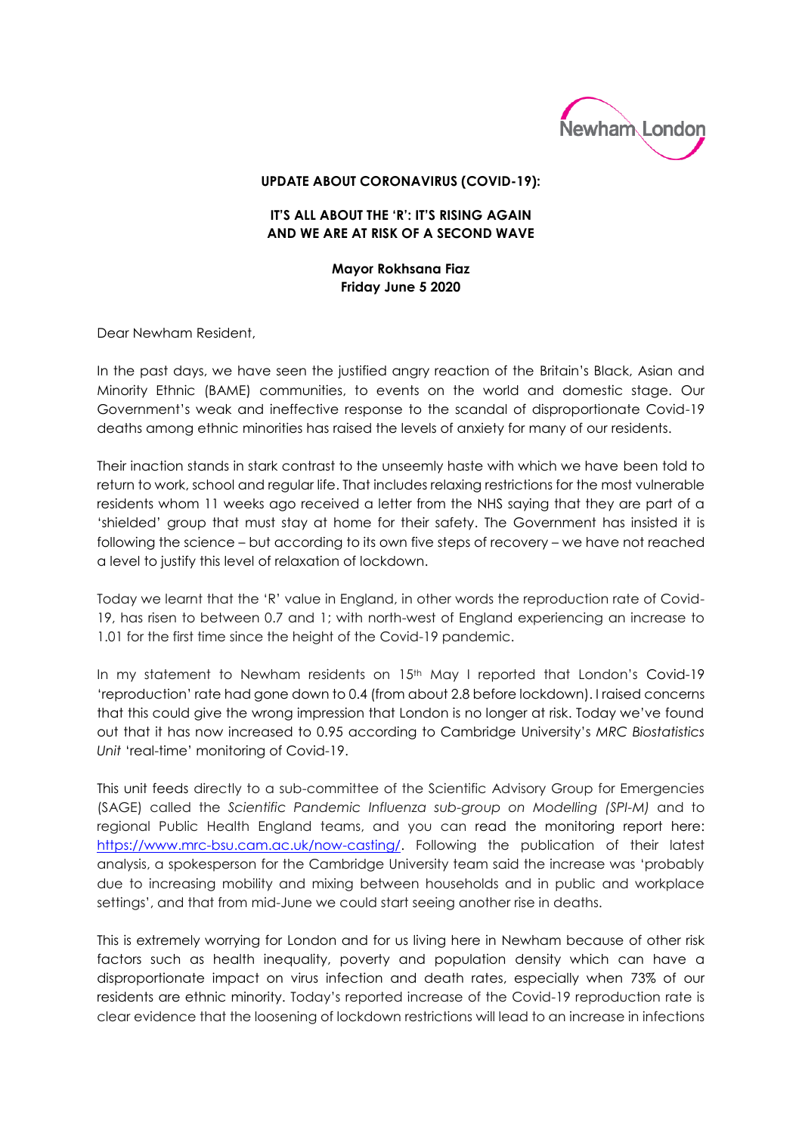

## **UPDATE ABOUT CORONAVIRUS (COVID-19):**

## **IT'S ALL ABOUT THE 'R': IT'S RISING AGAIN AND WE ARE AT RISK OF A SECOND WAVE**

**Mayor Rokhsana Fiaz Friday June 5 2020**

Dear Newham Resident,

In the past days, we have seen the justified angry reaction of the Britain's Black, Asian and Minority Ethnic (BAME) communities, to events on the world and domestic stage. Our Government's weak and ineffective response to the scandal of disproportionate Covid-19 deaths among ethnic minorities has raised the levels of anxiety for many of our residents.

Their inaction stands in stark contrast to the unseemly haste with which we have been told to return to work, school and regular life. That includes relaxing restrictions for the most vulnerable residents whom 11 weeks ago received a letter from the NHS saying that they are part of a 'shielded' group that must stay at home for their safety. The Government has insisted it is following the science – but according to its own five steps of recovery – we have not reached a level to justify this level of relaxation of lockdown.

Today we learnt that the 'R' value in England, in other words the reproduction rate of Covid-19, has risen to between 0.7 and 1; with north-west of England experiencing an increase to 1.01 for the first time since the height of the Covid-19 pandemic.

In my statement to Newham residents on 15<sup>th</sup> May I reported that London's Covid-19 'reproduction' rate had gone down to 0.4 (from about 2.8 before lockdown). I raised concerns that this could give the wrong impression that London is no longer at risk. Today we've found out that it has now increased to 0.95 according to Cambridge University's *MRC Biostatistics Unit* 'real-time' monitoring of Covid-19.

This unit feeds directly to a sub-committee of the Scientific Advisory Group for Emergencies (SAGE) called the *Scientific Pandemic Influenza sub-group on Modelling (SPI-M)* and to regional Public Health England teams, and you can read the monitoring report here: [https://www.mrc-bsu.cam.ac.uk/now-casting/.](https://www.mrc-bsu.cam.ac.uk/now-casting/) Following the publication of their latest analysis, a spokesperson for the Cambridge University team said the increase was 'probably due to increasing mobility and mixing between households and in public and workplace settings', and that from mid-June we could start seeing another rise in deaths.

This is extremely worrying for London and for us living here in Newham because of other risk factors such as health inequality, poverty and population density which can have a disproportionate impact on virus infection and death rates, especially when 73% of our residents are ethnic minority. Today's reported increase of the Covid-19 reproduction rate is clear evidence that the loosening of lockdown restrictions will lead to an increase in infections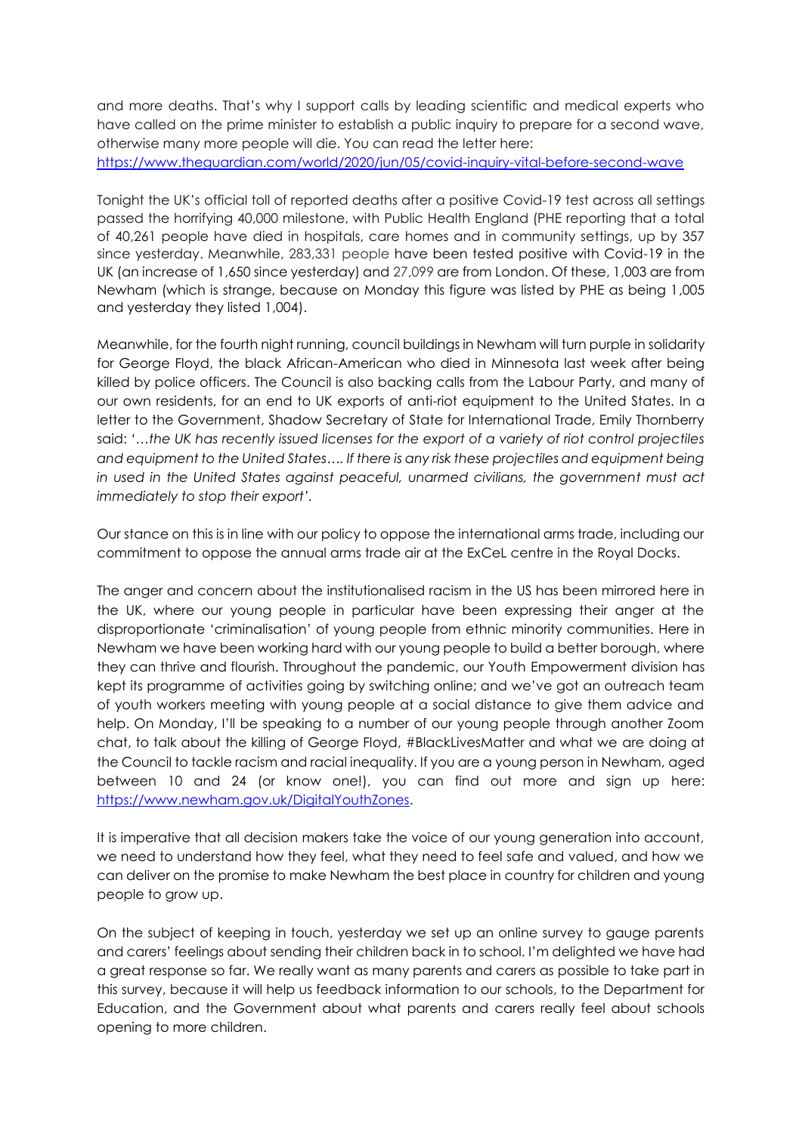and more deaths. That's why I support calls by leading scientific and medical experts who have called on the prime minister to establish a public inquiry to prepare for a second wave, otherwise many more people will die. You can read the letter here: <https://www.theguardian.com/world/2020/jun/05/covid-inquiry-vital-before-second-wave>

Tonight the UK's official toll of reported deaths after a positive Covid-19 test across all settings passed the horrifying 40,000 milestone, with Public Health England (PHE reporting that a total of 40,261 people have died in hospitals, care homes and in community settings, up by 357 since yesterday. Meanwhile, 283,331 people have been tested positive with Covid-19 in the UK (an increase of 1,650 since yesterday) and 27,099 are from London. Of these, 1,003 are from Newham (which is strange, because on Monday this figure was listed by PHE as being 1,005 and yesterday they listed 1,004).

Meanwhile, for the fourth night running, council buildings in Newham will turn purple in solidarity for George Floyd, the black African-American who died in Minnesota last week after being killed by police officers. The Council is also backing calls from the Labour Party, and many of our own residents, for an end to UK exports of anti-riot equipment to the United States. In a letter to the Government, Shadow Secretary of State for International Trade, Emily Thornberry said: *'…the UK has recently issued licenses for the export of a variety of riot control projectiles and equipment to the United States…. If there is any risk these projectiles and equipment being in used in the United States against peaceful, unarmed civilians, the government must act immediately to stop their export'.* 

Our stance on this is in line with our policy to oppose the international arms trade, including our commitment to oppose the annual arms trade air at the ExCeL centre in the Royal Docks.

The anger and concern about the institutionalised racism in the US has been mirrored here in the UK, where our young people in particular have been expressing their anger at the disproportionate 'criminalisation' of young people from ethnic minority communities. Here in Newham we have been working hard with our young people to build a better borough, where they can thrive and flourish. Throughout the pandemic, our Youth Empowerment division has kept its programme of activities going by switching online; and we've got an outreach team of youth workers meeting with young people at a social distance to give them advice and help. On Monday, I'll be speaking to a number of our young people through another Zoom chat, to talk about the killing of George Floyd, #BlackLivesMatter and what we are doing at the Council to tackle racism and racial inequality. If you are a young person in Newham, aged between 10 and 24 (or know one!), you can find out more and sign up here: [https://www.newham.gov.uk/DigitalYouthZones.](https://www.newham.gov.uk/DigitalYouthZones)

It is imperative that all decision makers take the voice of our young generation into account, we need to understand how they feel, what they need to feel safe and valued, and how we can deliver on the promise to make Newham the best place in country for children and young people to grow up.

On the subject of keeping in touch, yesterday we set up an online survey to gauge parents and carers' feelings about sending their children back in to school. I'm delighted we have had a great response so far. We really want as many parents and carers as possible to take part in this survey, because it will help us feedback information to our schools, to the Department for Education, and the Government about what parents and carers really feel about schools opening to more children.